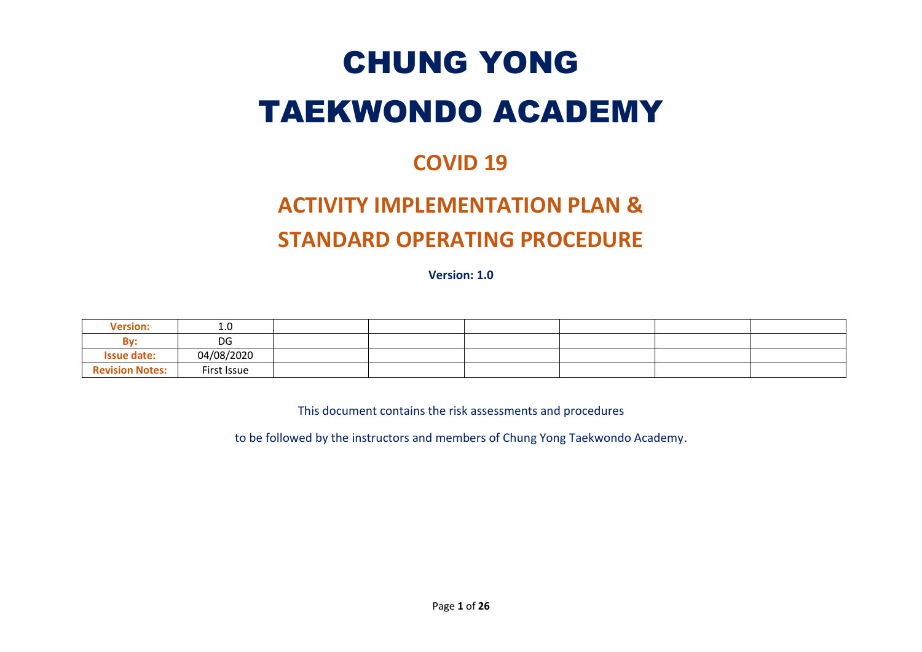# CHUNG YONG TAEKWONDO ACADEMY

### **COVID 19**

## **ACTIVITY IMPLEMENTATION PLAN & STANDARD OPERATING PROCEDURE**

**Version: 1.0**

| <b>Version:</b>        | 1.0         |  |  |  |
|------------------------|-------------|--|--|--|
| Bv:                    | DG          |  |  |  |
| <b>Issue date:</b>     | 04/08/2020  |  |  |  |
| <b>Revision Notes:</b> | First Issue |  |  |  |

This document contains the risk assessments and procedures

to be followed by the instructors and members of Chung Yong Taekwondo Academy.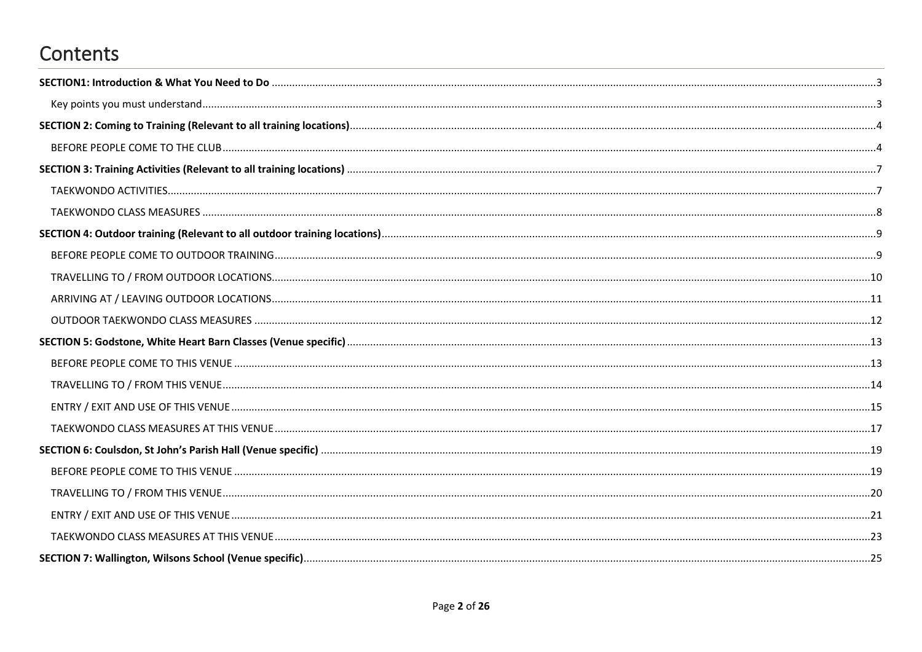### Contents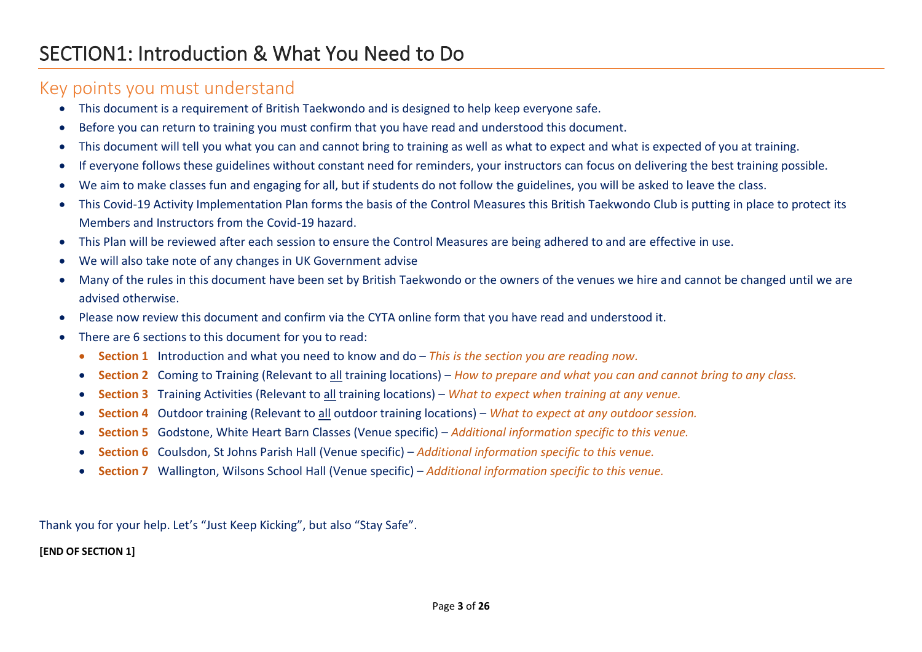#### <span id="page-2-1"></span><span id="page-2-0"></span>Key points you must understand

- This document is a requirement of British Taekwondo and is designed to help keep everyone safe.
- Before you can return to training you must confirm that you have read and understood this document.
- This document will tell you what you can and cannot bring to training as well as what to expect and what is expected of you at training.
- If everyone follows these guidelines without constant need for reminders, your instructors can focus on delivering the best training possible.
- We aim to make classes fun and engaging for all, but if students do not follow the guidelines, you will be asked to leave the class.
- This Covid-19 Activity Implementation Plan forms the basis of the Control Measures this British Taekwondo Club is putting in place to protect its Members and Instructors from the Covid-19 hazard.
- This Plan will be reviewed after each session to ensure the Control Measures are being adhered to and are effective in use.
- We will also take note of any changes in UK Government advise
- Many of the rules in this document have been set by British Taekwondo or the owners of the venues we hire and cannot be changed until we are advised otherwise.
- Please now review this document and confirm via the CYTA online form that you have read and understood it.
- There are 6 sections to this document for you to read:
	- **Section 1** Introduction and what you need to know and do *This is the section you are reading now.*
	- **Section 2** Coming to Training (Relevant to all training locations) *How to prepare and what you can and cannot bring to any class.*
	- **Section 3** Training Activities (Relevant to all training locations) *What to expect when training at any venue.*
	- **Section 4** Outdoor training (Relevant to all outdoor training locations) *What to expect at any outdoor session.*
	- **Section 5** Godstone, White Heart Barn Classes (Venue specific) *Additional information specific to this venue.*
	- **Section 6** Coulsdon, St Johns Parish Hall (Venue specific) *Additional information specific to this venue.*
	- **Section 7** Wallington, Wilsons School Hall (Venue specific) *Additional information specific to this venue.*

Thank you for your help. Let's "Just Keep Kicking", but also "Stay Safe".

#### **[END OF SECTION 1]**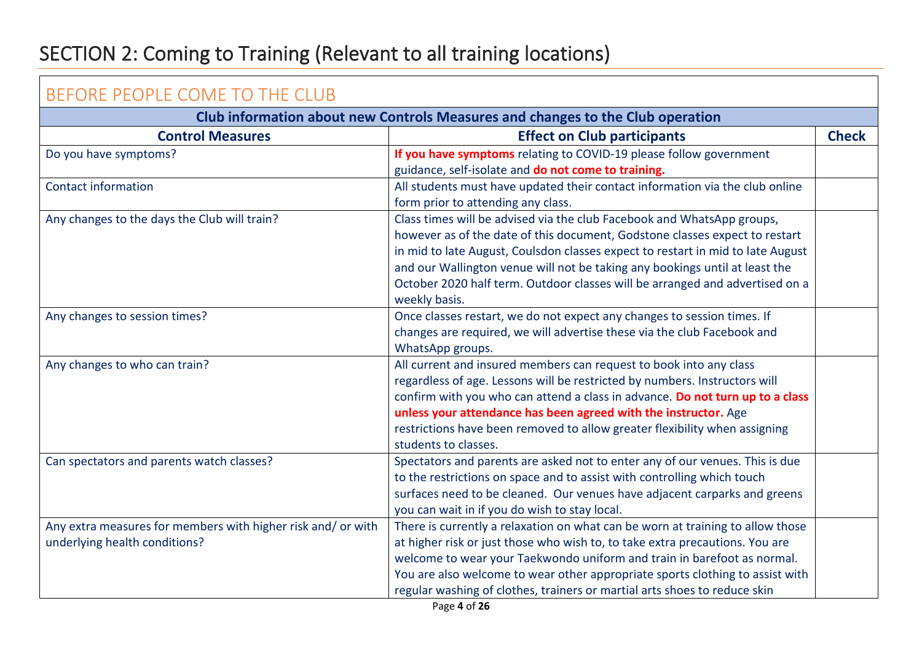### <span id="page-3-0"></span>SECTION 2: Coming to Training (Relevant to all training locations)

<span id="page-3-1"></span>

| BEFORE PEOPLE COME TO THE CLUB                                                 |                                                                                 |              |  |  |
|--------------------------------------------------------------------------------|---------------------------------------------------------------------------------|--------------|--|--|
| Club information about new Controls Measures and changes to the Club operation |                                                                                 |              |  |  |
| <b>Control Measures</b>                                                        | <b>Effect on Club participants</b>                                              | <b>Check</b> |  |  |
| Do you have symptoms?                                                          | If you have symptoms relating to COVID-19 please follow government              |              |  |  |
|                                                                                | guidance, self-isolate and do not come to training.                             |              |  |  |
| <b>Contact information</b>                                                     | All students must have updated their contact information via the club online    |              |  |  |
|                                                                                | form prior to attending any class.                                              |              |  |  |
| Any changes to the days the Club will train?                                   | Class times will be advised via the club Facebook and WhatsApp groups,          |              |  |  |
|                                                                                | however as of the date of this document, Godstone classes expect to restart     |              |  |  |
|                                                                                | in mid to late August, Coulsdon classes expect to restart in mid to late August |              |  |  |
|                                                                                | and our Wallington venue will not be taking any bookings until at least the     |              |  |  |
|                                                                                | October 2020 half term. Outdoor classes will be arranged and advertised on a    |              |  |  |
|                                                                                | weekly basis.                                                                   |              |  |  |
| Any changes to session times?                                                  | Once classes restart, we do not expect any changes to session times. If         |              |  |  |
|                                                                                | changes are required, we will advertise these via the club Facebook and         |              |  |  |
|                                                                                | WhatsApp groups.                                                                |              |  |  |
| Any changes to who can train?                                                  | All current and insured members can request to book into any class              |              |  |  |
|                                                                                | regardless of age. Lessons will be restricted by numbers. Instructors will      |              |  |  |
|                                                                                | confirm with you who can attend a class in advance. Do not turn up to a class   |              |  |  |
|                                                                                | unless your attendance has been agreed with the instructor. Age                 |              |  |  |
|                                                                                | restrictions have been removed to allow greater flexibility when assigning      |              |  |  |
|                                                                                | students to classes.                                                            |              |  |  |
| Can spectators and parents watch classes?                                      | Spectators and parents are asked not to enter any of our venues. This is due    |              |  |  |
|                                                                                | to the restrictions on space and to assist with controlling which touch         |              |  |  |
|                                                                                | surfaces need to be cleaned. Our venues have adjacent carparks and greens       |              |  |  |
|                                                                                | you can wait in if you do wish to stay local.                                   |              |  |  |
| Any extra measures for members with higher risk and/ or with                   | There is currently a relaxation on what can be worn at training to allow those  |              |  |  |
| underlying health conditions?                                                  | at higher risk or just those who wish to, to take extra precautions. You are    |              |  |  |
|                                                                                | welcome to wear your Taekwondo uniform and train in barefoot as normal.         |              |  |  |
|                                                                                | You are also welcome to wear other appropriate sports clothing to assist with   |              |  |  |
|                                                                                | regular washing of clothes, trainers or martial arts shoes to reduce skin       |              |  |  |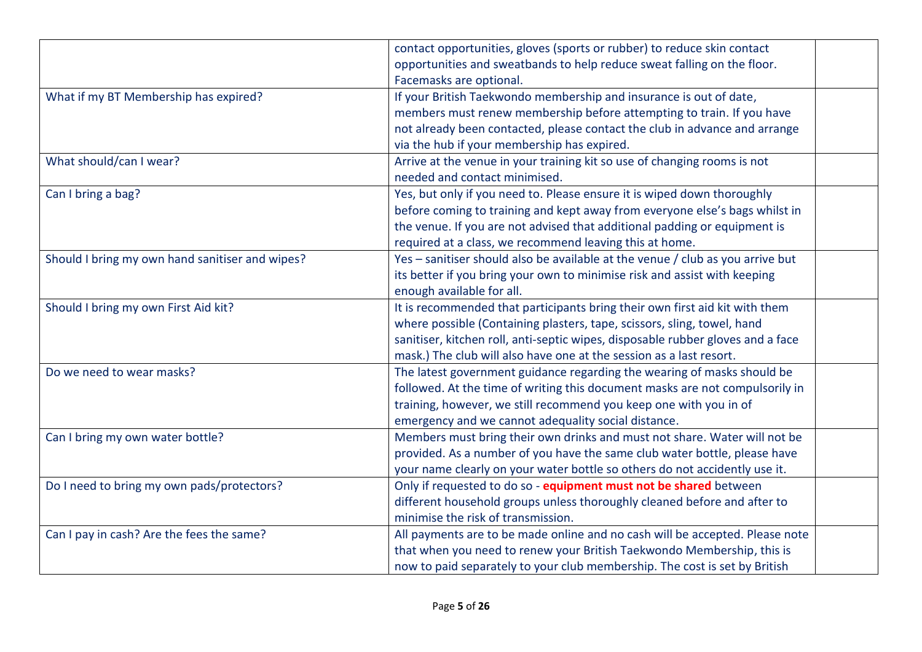|                                                 | contact opportunities, gloves (sports or rubber) to reduce skin contact         |  |
|-------------------------------------------------|---------------------------------------------------------------------------------|--|
|                                                 | opportunities and sweatbands to help reduce sweat falling on the floor.         |  |
|                                                 | Facemasks are optional.                                                         |  |
| What if my BT Membership has expired?           | If your British Taekwondo membership and insurance is out of date,              |  |
|                                                 | members must renew membership before attempting to train. If you have           |  |
|                                                 | not already been contacted, please contact the club in advance and arrange      |  |
|                                                 | via the hub if your membership has expired.                                     |  |
| What should/can I wear?                         | Arrive at the venue in your training kit so use of changing rooms is not        |  |
|                                                 | needed and contact minimised.                                                   |  |
| Can I bring a bag?                              | Yes, but only if you need to. Please ensure it is wiped down thoroughly         |  |
|                                                 | before coming to training and kept away from everyone else's bags whilst in     |  |
|                                                 | the venue. If you are not advised that additional padding or equipment is       |  |
|                                                 | required at a class, we recommend leaving this at home.                         |  |
| Should I bring my own hand sanitiser and wipes? | Yes - sanitiser should also be available at the venue / club as you arrive but  |  |
|                                                 | its better if you bring your own to minimise risk and assist with keeping       |  |
|                                                 | enough available for all.                                                       |  |
| Should I bring my own First Aid kit?            | It is recommended that participants bring their own first aid kit with them     |  |
|                                                 | where possible (Containing plasters, tape, scissors, sling, towel, hand         |  |
|                                                 | sanitiser, kitchen roll, anti-septic wipes, disposable rubber gloves and a face |  |
|                                                 | mask.) The club will also have one at the session as a last resort.             |  |
| Do we need to wear masks?                       | The latest government guidance regarding the wearing of masks should be         |  |
|                                                 | followed. At the time of writing this document masks are not compulsorily in    |  |
|                                                 | training, however, we still recommend you keep one with you in of               |  |
|                                                 | emergency and we cannot adequality social distance.                             |  |
| Can I bring my own water bottle?                | Members must bring their own drinks and must not share. Water will not be       |  |
|                                                 | provided. As a number of you have the same club water bottle, please have       |  |
|                                                 | your name clearly on your water bottle so others do not accidently use it.      |  |
| Do I need to bring my own pads/protectors?      | Only if requested to do so - equipment must not be shared between               |  |
|                                                 | different household groups unless thoroughly cleaned before and after to        |  |
|                                                 | minimise the risk of transmission.                                              |  |
| Can I pay in cash? Are the fees the same?       | All payments are to be made online and no cash will be accepted. Please note    |  |
|                                                 | that when you need to renew your British Taekwondo Membership, this is          |  |
|                                                 | now to paid separately to your club membership. The cost is set by British      |  |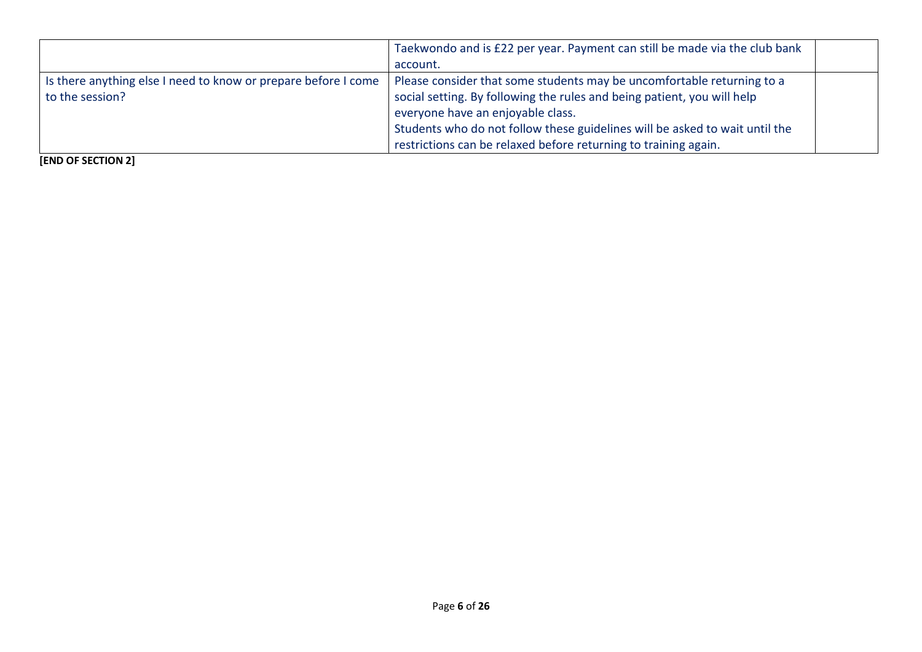|                                                                  | Taekwondo and is £22 per year. Payment can still be made via the club bank  |  |
|------------------------------------------------------------------|-----------------------------------------------------------------------------|--|
|                                                                  | account.                                                                    |  |
| I is there anything else I need to know or prepare before I come | Please consider that some students may be uncomfortable returning to a      |  |
| to the session?                                                  | social setting. By following the rules and being patient, you will help     |  |
|                                                                  | everyone have an enjoyable class.                                           |  |
|                                                                  | Students who do not follow these guidelines will be asked to wait until the |  |
|                                                                  | restrictions can be relaxed before returning to training again.             |  |

**[END OF SECTION 2]**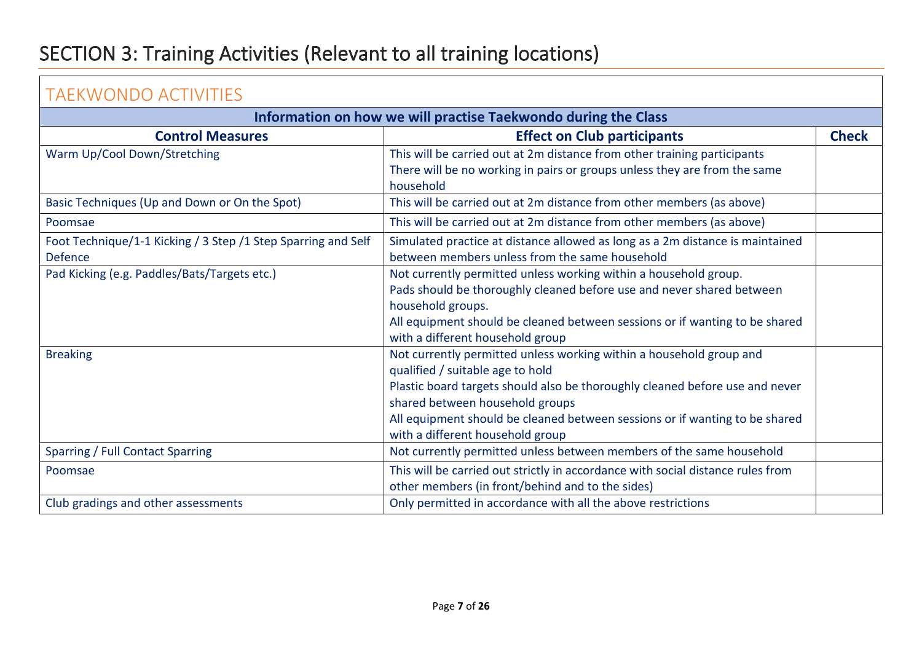### <span id="page-6-0"></span>SECTION 3: Training Activities (Relevant to all training locations)

<span id="page-6-1"></span>

| <b>TAEKWONDO ACTIVITIES</b>                                    |                                                                                 |              |  |  |
|----------------------------------------------------------------|---------------------------------------------------------------------------------|--------------|--|--|
| Information on how we will practise Taekwondo during the Class |                                                                                 |              |  |  |
| <b>Control Measures</b>                                        | <b>Effect on Club participants</b>                                              | <b>Check</b> |  |  |
| Warm Up/Cool Down/Stretching                                   | This will be carried out at 2m distance from other training participants        |              |  |  |
|                                                                | There will be no working in pairs or groups unless they are from the same       |              |  |  |
|                                                                | household                                                                       |              |  |  |
| Basic Techniques (Up and Down or On the Spot)                  | This will be carried out at 2m distance from other members (as above)           |              |  |  |
| Poomsae                                                        | This will be carried out at 2m distance from other members (as above)           |              |  |  |
| Foot Technique/1-1 Kicking / 3 Step /1 Step Sparring and Self  | Simulated practice at distance allowed as long as a 2m distance is maintained   |              |  |  |
| <b>Defence</b>                                                 | between members unless from the same household                                  |              |  |  |
| Pad Kicking (e.g. Paddles/Bats/Targets etc.)                   | Not currently permitted unless working within a household group.                |              |  |  |
|                                                                | Pads should be thoroughly cleaned before use and never shared between           |              |  |  |
|                                                                | household groups.                                                               |              |  |  |
|                                                                | All equipment should be cleaned between sessions or if wanting to be shared     |              |  |  |
|                                                                | with a different household group                                                |              |  |  |
| <b>Breaking</b>                                                | Not currently permitted unless working within a household group and             |              |  |  |
|                                                                | qualified / suitable age to hold                                                |              |  |  |
|                                                                | Plastic board targets should also be thoroughly cleaned before use and never    |              |  |  |
|                                                                | shared between household groups                                                 |              |  |  |
|                                                                | All equipment should be cleaned between sessions or if wanting to be shared     |              |  |  |
|                                                                | with a different household group                                                |              |  |  |
| Sparring / Full Contact Sparring                               | Not currently permitted unless between members of the same household            |              |  |  |
| Poomsae                                                        | This will be carried out strictly in accordance with social distance rules from |              |  |  |
|                                                                | other members (in front/behind and to the sides)                                |              |  |  |
| Club gradings and other assessments                            | Only permitted in accordance with all the above restrictions                    |              |  |  |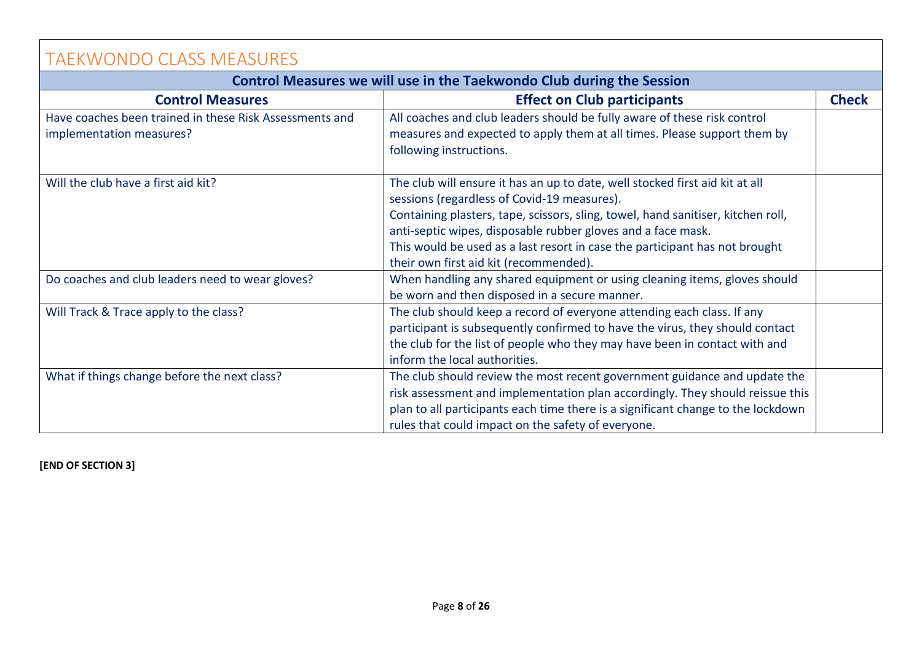<span id="page-7-0"></span>

| <b>TAEKWONDO CLASS MEASURES</b>                                                     |                                                                                                                                                                                                                                                                                                                                                                                                          |              |  |  |
|-------------------------------------------------------------------------------------|----------------------------------------------------------------------------------------------------------------------------------------------------------------------------------------------------------------------------------------------------------------------------------------------------------------------------------------------------------------------------------------------------------|--------------|--|--|
| Control Measures we will use in the Taekwondo Club during the Session               |                                                                                                                                                                                                                                                                                                                                                                                                          |              |  |  |
| <b>Control Measures</b>                                                             | <b>Effect on Club participants</b>                                                                                                                                                                                                                                                                                                                                                                       | <b>Check</b> |  |  |
| Have coaches been trained in these Risk Assessments and<br>implementation measures? | All coaches and club leaders should be fully aware of these risk control<br>measures and expected to apply them at all times. Please support them by<br>following instructions.                                                                                                                                                                                                                          |              |  |  |
| Will the club have a first aid kit?                                                 | The club will ensure it has an up to date, well stocked first aid kit at all<br>sessions (regardless of Covid-19 measures).<br>Containing plasters, tape, scissors, sling, towel, hand sanitiser, kitchen roll,<br>anti-septic wipes, disposable rubber gloves and a face mask.<br>This would be used as a last resort in case the participant has not brought<br>their own first aid kit (recommended). |              |  |  |
| Do coaches and club leaders need to wear gloves?                                    | When handling any shared equipment or using cleaning items, gloves should<br>be worn and then disposed in a secure manner.                                                                                                                                                                                                                                                                               |              |  |  |
| Will Track & Trace apply to the class?                                              | The club should keep a record of everyone attending each class. If any<br>participant is subsequently confirmed to have the virus, they should contact<br>the club for the list of people who they may have been in contact with and<br>inform the local authorities.                                                                                                                                    |              |  |  |
| What if things change before the next class?                                        | The club should review the most recent government guidance and update the<br>risk assessment and implementation plan accordingly. They should reissue this<br>plan to all participants each time there is a significant change to the lockdown<br>rules that could impact on the safety of everyone.                                                                                                     |              |  |  |

**[END OF SECTION 3]**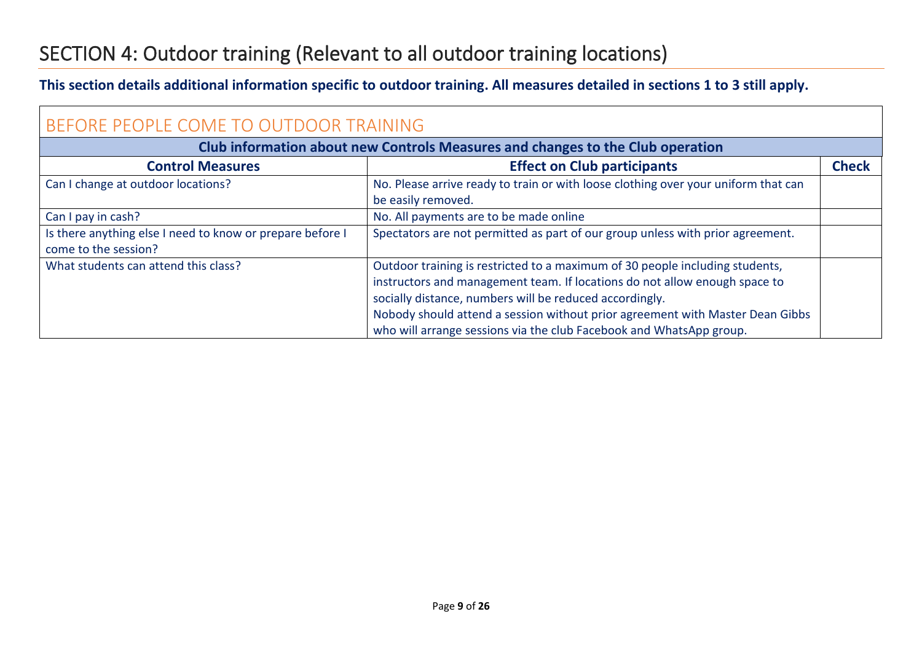### <span id="page-8-0"></span>SECTION 4: Outdoor training (Relevant to all outdoor training locations)

#### **This section details additional information specific to outdoor training. All measures detailed in sections 1 to 3 still apply.**

<span id="page-8-1"></span>

| BEFORE PEOPLE COME TO OUTDOOR TRAINING                                            |                                                                                                                                                                                                                                                                                                                                                                               |              |  |  |  |
|-----------------------------------------------------------------------------------|-------------------------------------------------------------------------------------------------------------------------------------------------------------------------------------------------------------------------------------------------------------------------------------------------------------------------------------------------------------------------------|--------------|--|--|--|
| Club information about new Controls Measures and changes to the Club operation    |                                                                                                                                                                                                                                                                                                                                                                               |              |  |  |  |
| <b>Control Measures</b>                                                           | <b>Effect on Club participants</b>                                                                                                                                                                                                                                                                                                                                            | <b>Check</b> |  |  |  |
| Can I change at outdoor locations?                                                | No. Please arrive ready to train or with loose clothing over your uniform that can<br>be easily removed.                                                                                                                                                                                                                                                                      |              |  |  |  |
| Can I pay in cash?                                                                | No. All payments are to be made online                                                                                                                                                                                                                                                                                                                                        |              |  |  |  |
| Is there anything else I need to know or prepare before I<br>come to the session? | Spectators are not permitted as part of our group unless with prior agreement.                                                                                                                                                                                                                                                                                                |              |  |  |  |
| What students can attend this class?                                              | Outdoor training is restricted to a maximum of 30 people including students,<br>instructors and management team. If locations do not allow enough space to<br>socially distance, numbers will be reduced accordingly.<br>Nobody should attend a session without prior agreement with Master Dean Gibbs<br>who will arrange sessions via the club Facebook and WhatsApp group. |              |  |  |  |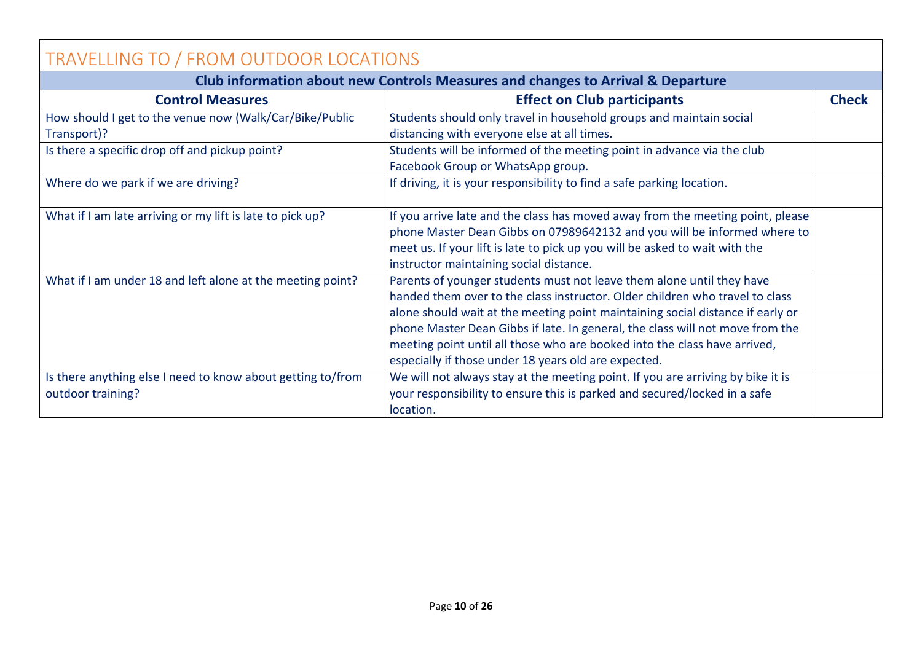<span id="page-9-0"></span>

| TRAVELLING TO / FROM OUTDOOR LOCATIONS                      |                                                                                            |              |  |  |
|-------------------------------------------------------------|--------------------------------------------------------------------------------------------|--------------|--|--|
|                                                             | <b>Club information about new Controls Measures and changes to Arrival &amp; Departure</b> |              |  |  |
| <b>Control Measures</b>                                     | <b>Effect on Club participants</b>                                                         | <b>Check</b> |  |  |
| How should I get to the venue now (Walk/Car/Bike/Public     | Students should only travel in household groups and maintain social                        |              |  |  |
| Transport)?                                                 | distancing with everyone else at all times.                                                |              |  |  |
| Is there a specific drop off and pickup point?              | Students will be informed of the meeting point in advance via the club                     |              |  |  |
|                                                             | Facebook Group or WhatsApp group.                                                          |              |  |  |
| Where do we park if we are driving?                         | If driving, it is your responsibility to find a safe parking location.                     |              |  |  |
| What if I am late arriving or my lift is late to pick up?   | If you arrive late and the class has moved away from the meeting point, please             |              |  |  |
|                                                             | phone Master Dean Gibbs on 07989642132 and you will be informed where to                   |              |  |  |
|                                                             | meet us. If your lift is late to pick up you will be asked to wait with the                |              |  |  |
|                                                             | instructor maintaining social distance.                                                    |              |  |  |
| What if I am under 18 and left alone at the meeting point?  | Parents of younger students must not leave them alone until they have                      |              |  |  |
|                                                             | handed them over to the class instructor. Older children who travel to class               |              |  |  |
|                                                             | alone should wait at the meeting point maintaining social distance if early or             |              |  |  |
|                                                             | phone Master Dean Gibbs if late. In general, the class will not move from the              |              |  |  |
|                                                             | meeting point until all those who are booked into the class have arrived,                  |              |  |  |
|                                                             | especially if those under 18 years old are expected.                                       |              |  |  |
| Is there anything else I need to know about getting to/from | We will not always stay at the meeting point. If you are arriving by bike it is            |              |  |  |
| outdoor training?                                           | your responsibility to ensure this is parked and secured/locked in a safe                  |              |  |  |
|                                                             | location.                                                                                  |              |  |  |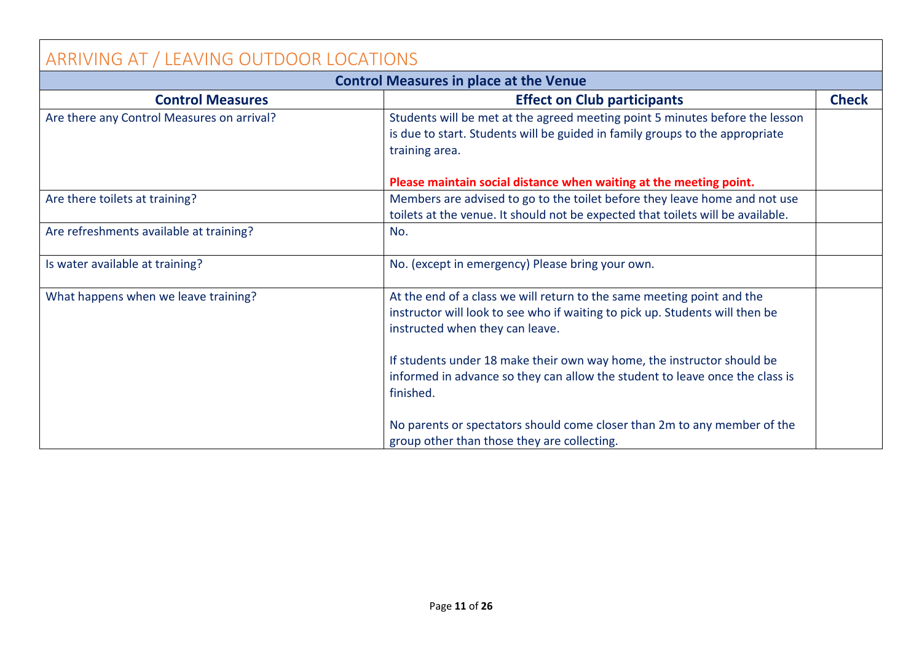<span id="page-10-0"></span>

| ARRIVING AT / LEAVING OUTDOOR LOCATIONS       |                                                                                                                                                                                           |              |  |
|-----------------------------------------------|-------------------------------------------------------------------------------------------------------------------------------------------------------------------------------------------|--------------|--|
| <b>Control Measures in place at the Venue</b> |                                                                                                                                                                                           |              |  |
| <b>Control Measures</b>                       | <b>Effect on Club participants</b>                                                                                                                                                        | <b>Check</b> |  |
| Are there any Control Measures on arrival?    | Students will be met at the agreed meeting point 5 minutes before the lesson<br>is due to start. Students will be guided in family groups to the appropriate<br>training area.            |              |  |
|                                               | Please maintain social distance when waiting at the meeting point.                                                                                                                        |              |  |
| Are there toilets at training?                | Members are advised to go to the toilet before they leave home and not use<br>toilets at the venue. It should not be expected that toilets will be available.                             |              |  |
| Are refreshments available at training?       | No.                                                                                                                                                                                       |              |  |
| Is water available at training?               | No. (except in emergency) Please bring your own.                                                                                                                                          |              |  |
| What happens when we leave training?          | At the end of a class we will return to the same meeting point and the<br>instructor will look to see who if waiting to pick up. Students will then be<br>instructed when they can leave. |              |  |
|                                               | If students under 18 make their own way home, the instructor should be<br>informed in advance so they can allow the student to leave once the class is<br>finished.                       |              |  |
|                                               | No parents or spectators should come closer than 2m to any member of the<br>group other than those they are collecting.                                                                   |              |  |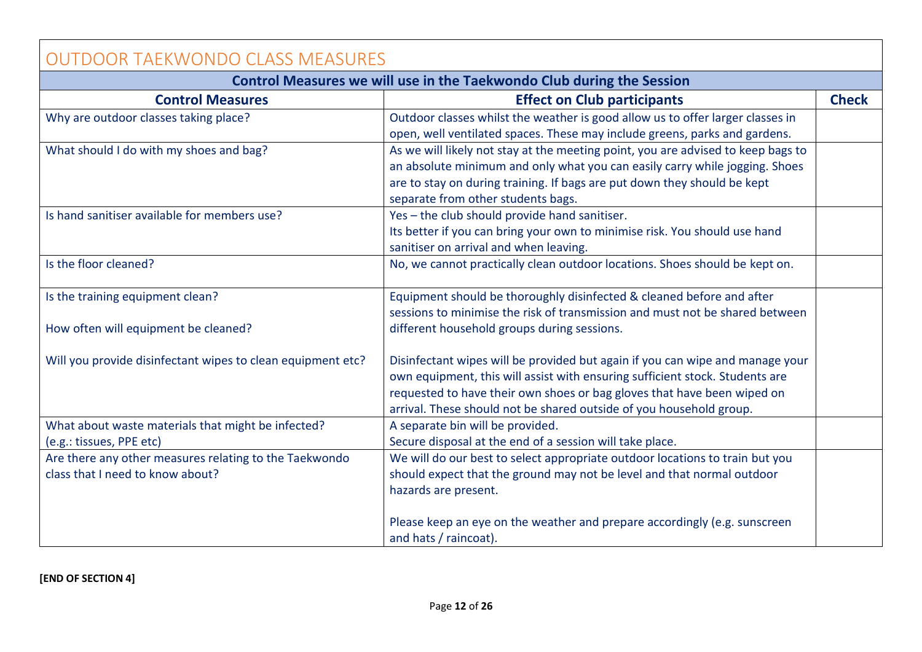<span id="page-11-0"></span>

| <b>OUTDOOR TAEKWONDO CLASS MEASURES</b>                               |                                                                                  |              |  |  |
|-----------------------------------------------------------------------|----------------------------------------------------------------------------------|--------------|--|--|
| Control Measures we will use in the Taekwondo Club during the Session |                                                                                  |              |  |  |
| <b>Control Measures</b>                                               | <b>Effect on Club participants</b>                                               | <b>Check</b> |  |  |
| Why are outdoor classes taking place?                                 | Outdoor classes whilst the weather is good allow us to offer larger classes in   |              |  |  |
|                                                                       | open, well ventilated spaces. These may include greens, parks and gardens.       |              |  |  |
| What should I do with my shoes and bag?                               | As we will likely not stay at the meeting point, you are advised to keep bags to |              |  |  |
|                                                                       | an absolute minimum and only what you can easily carry while jogging. Shoes      |              |  |  |
|                                                                       | are to stay on during training. If bags are put down they should be kept         |              |  |  |
|                                                                       | separate from other students bags.                                               |              |  |  |
| Is hand sanitiser available for members use?                          | Yes - the club should provide hand sanitiser.                                    |              |  |  |
|                                                                       | Its better if you can bring your own to minimise risk. You should use hand       |              |  |  |
|                                                                       | sanitiser on arrival and when leaving.                                           |              |  |  |
| Is the floor cleaned?                                                 | No, we cannot practically clean outdoor locations. Shoes should be kept on.      |              |  |  |
| Is the training equipment clean?                                      | Equipment should be thoroughly disinfected & cleaned before and after            |              |  |  |
|                                                                       | sessions to minimise the risk of transmission and must not be shared between     |              |  |  |
| How often will equipment be cleaned?                                  | different household groups during sessions.                                      |              |  |  |
| Will you provide disinfectant wipes to clean equipment etc?           | Disinfectant wipes will be provided but again if you can wipe and manage your    |              |  |  |
|                                                                       | own equipment, this will assist with ensuring sufficient stock. Students are     |              |  |  |
|                                                                       | requested to have their own shoes or bag gloves that have been wiped on          |              |  |  |
|                                                                       | arrival. These should not be shared outside of you household group.              |              |  |  |
| What about waste materials that might be infected?                    | A separate bin will be provided.                                                 |              |  |  |
| (e.g.: tissues, PPE etc)                                              | Secure disposal at the end of a session will take place.                         |              |  |  |
| Are there any other measures relating to the Taekwondo                | We will do our best to select appropriate outdoor locations to train but you     |              |  |  |
| class that I need to know about?                                      | should expect that the ground may not be level and that normal outdoor           |              |  |  |
|                                                                       | hazards are present.                                                             |              |  |  |
|                                                                       | Please keep an eye on the weather and prepare accordingly (e.g. sunscreen        |              |  |  |
|                                                                       | and hats / raincoat).                                                            |              |  |  |

#### **[END OF SECTION 4]**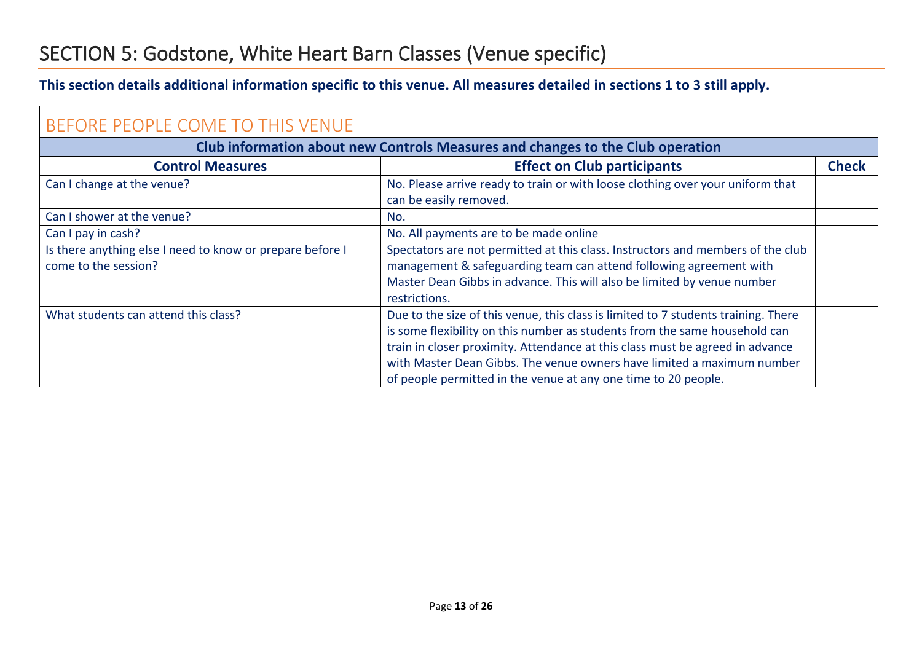### <span id="page-12-0"></span>SECTION 5: Godstone, White Heart Barn Classes (Venue specific)

#### **This section details additional information specific to this venue. All measures detailed in sections 1 to 3 still apply.**

<span id="page-12-1"></span>

| BEFORE PEOPLE COME TO THIS VENUE                                                  |                                                                                                                                                                                                                                                                                                                                                                                               |              |
|-----------------------------------------------------------------------------------|-----------------------------------------------------------------------------------------------------------------------------------------------------------------------------------------------------------------------------------------------------------------------------------------------------------------------------------------------------------------------------------------------|--------------|
|                                                                                   | Club information about new Controls Measures and changes to the Club operation                                                                                                                                                                                                                                                                                                                |              |
| <b>Control Measures</b>                                                           | <b>Effect on Club participants</b>                                                                                                                                                                                                                                                                                                                                                            | <b>Check</b> |
| Can I change at the venue?                                                        | No. Please arrive ready to train or with loose clothing over your uniform that<br>can be easily removed.                                                                                                                                                                                                                                                                                      |              |
| Can I shower at the venue?                                                        | No.                                                                                                                                                                                                                                                                                                                                                                                           |              |
| Can I pay in cash?                                                                | No. All payments are to be made online                                                                                                                                                                                                                                                                                                                                                        |              |
| Is there anything else I need to know or prepare before I<br>come to the session? | Spectators are not permitted at this class. Instructors and members of the club<br>management & safeguarding team can attend following agreement with<br>Master Dean Gibbs in advance. This will also be limited by venue number<br>restrictions.                                                                                                                                             |              |
| What students can attend this class?                                              | Due to the size of this venue, this class is limited to 7 students training. There<br>is some flexibility on this number as students from the same household can<br>train in closer proximity. Attendance at this class must be agreed in advance<br>with Master Dean Gibbs. The venue owners have limited a maximum number<br>of people permitted in the venue at any one time to 20 people. |              |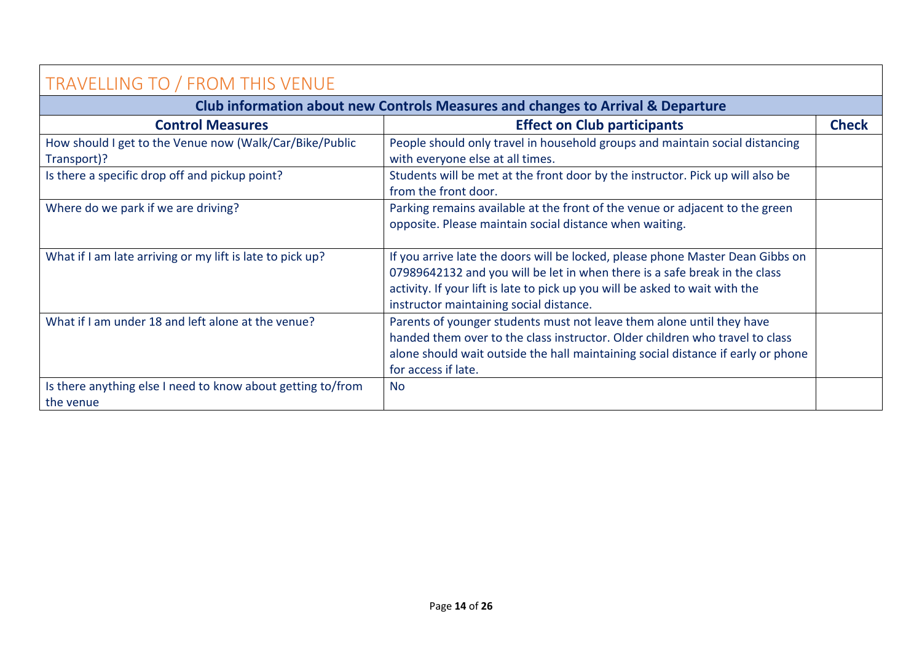<span id="page-13-0"></span>

| TRAVELLING TO / FROM THIS VENUE                                          |                                                                                                                                                                                                                                                                                         |              |
|--------------------------------------------------------------------------|-----------------------------------------------------------------------------------------------------------------------------------------------------------------------------------------------------------------------------------------------------------------------------------------|--------------|
|                                                                          | Club information about new Controls Measures and changes to Arrival & Departure                                                                                                                                                                                                         |              |
| <b>Control Measures</b>                                                  | <b>Effect on Club participants</b>                                                                                                                                                                                                                                                      | <b>Check</b> |
| How should I get to the Venue now (Walk/Car/Bike/Public<br>Transport)?   | People should only travel in household groups and maintain social distancing<br>with everyone else at all times.                                                                                                                                                                        |              |
| Is there a specific drop off and pickup point?                           | Students will be met at the front door by the instructor. Pick up will also be<br>from the front door.                                                                                                                                                                                  |              |
| Where do we park if we are driving?                                      | Parking remains available at the front of the venue or adjacent to the green<br>opposite. Please maintain social distance when waiting.                                                                                                                                                 |              |
| What if I am late arriving or my lift is late to pick up?                | If you arrive late the doors will be locked, please phone Master Dean Gibbs on<br>07989642132 and you will be let in when there is a safe break in the class<br>activity. If your lift is late to pick up you will be asked to wait with the<br>instructor maintaining social distance. |              |
| What if I am under 18 and left alone at the venue?                       | Parents of younger students must not leave them alone until they have<br>handed them over to the class instructor. Older children who travel to class<br>alone should wait outside the hall maintaining social distance if early or phone<br>for access if late.                        |              |
| Is there anything else I need to know about getting to/from<br>the venue | <b>No</b>                                                                                                                                                                                                                                                                               |              |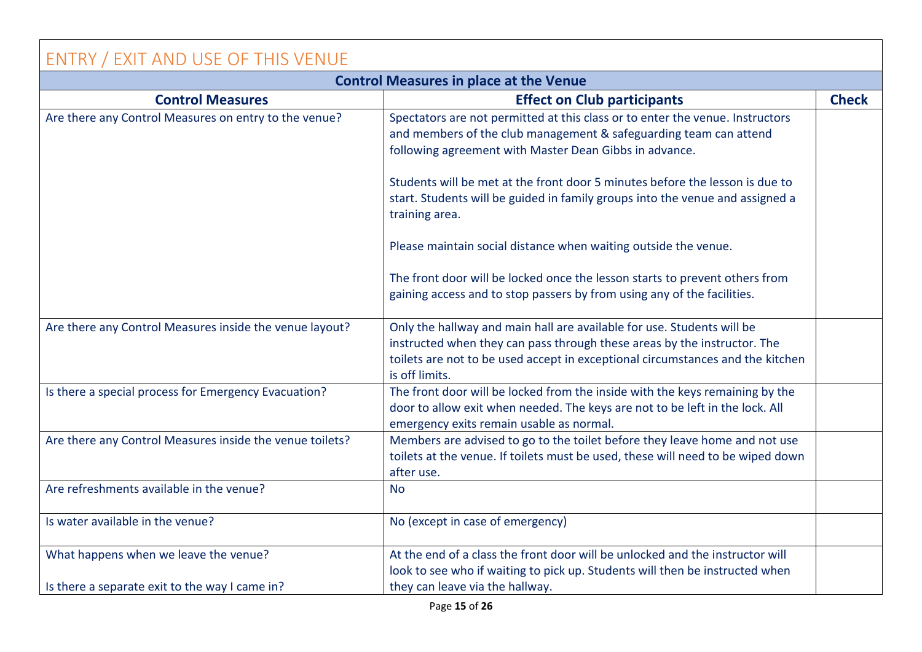#### <span id="page-14-0"></span>ENTRY / EXIT AND USE OF THIS VENUE **Control Measures in place at the Venue Control Measures Effect on Club participants Effect on Club participants Effect on Club participants Check** Are there any Control Measures on entry to the venue? Spectators are not permitted at this class or to enter the venue. Instructors and members of the club management & safeguarding team can attend following agreement with Master Dean Gibbs in advance. Students will be met at the front door 5 minutes before the lesson is due to start. Students will be guided in family groups into the venue and assigned a training area. Please maintain social distance when waiting outside the venue. The front door will be locked once the lesson starts to prevent others from gaining access and to stop passers by from using any of the facilities. Are there any Control Measures inside the venue layout?  $\vert$  Only the hallway and main hall are available for use. Students will be instructed when they can pass through these areas by the instructor. The toilets are not to be used accept in exceptional circumstances and the kitchen is off limits. Is there a special process for Emergency Evacuation? The front door will be locked from the inside with the keys remaining by the door to allow exit when needed. The keys are not to be left in the lock. All emergency exits remain usable as normal. Are there any Control Measures inside the venue toilets? | Members are advised to go to the toilet before they leave home and not use toilets at the venue. If toilets must be used, these will need to be wiped down after use. Are refreshments available in the venue? Is water available in the venue?  $\Box$  No (except in case of emergency) What happens when we leave the venue? Is there a separate exit to the way I came in? At the end of a class the front door will be unlocked and the instructor will look to see who if waiting to pick up. Students will then be instructed when they can leave via the hallway.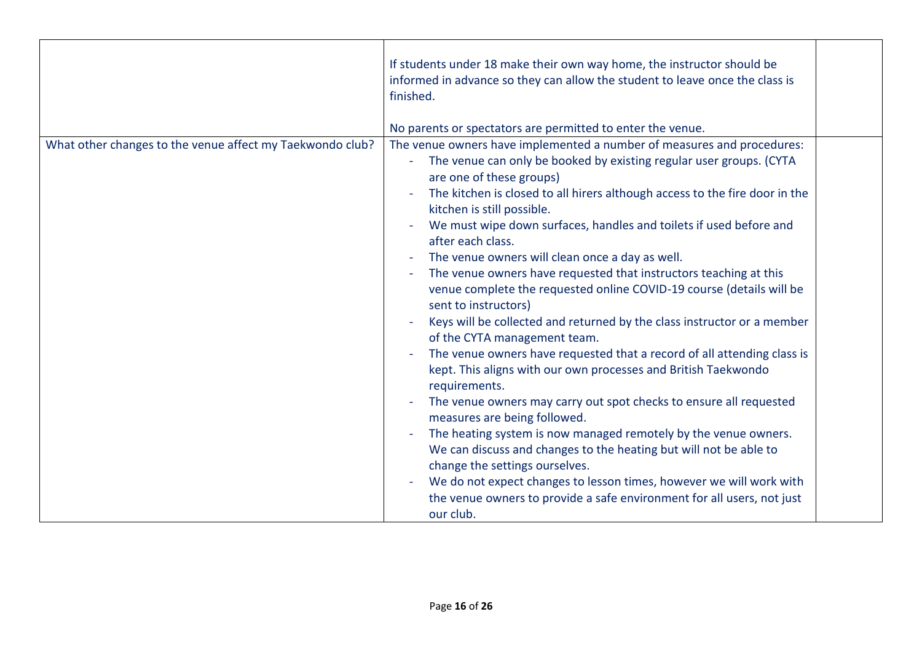| The venue owners have implemented a number of measures and procedures:<br>The venue can only be booked by existing regular user groups. (CYTA<br>are one of these groups)<br>The kitchen is closed to all hirers although access to the fire door in the<br>kitchen is still possible.<br>We must wipe down surfaces, handles and toilets if used before and<br>after each class.<br>The venue owners will clean once a day as well.<br>The venue owners have requested that instructors teaching at this<br>venue complete the requested online COVID-19 course (details will be<br>sent to instructors)<br>Keys will be collected and returned by the class instructor or a member<br>of the CYTA management team. |                                                           | If students under 18 make their own way home, the instructor should be<br>informed in advance so they can allow the student to leave once the class is<br>finished.<br>No parents or spectators are permitted to enter the venue. |  |  |  |  |
|----------------------------------------------------------------------------------------------------------------------------------------------------------------------------------------------------------------------------------------------------------------------------------------------------------------------------------------------------------------------------------------------------------------------------------------------------------------------------------------------------------------------------------------------------------------------------------------------------------------------------------------------------------------------------------------------------------------------|-----------------------------------------------------------|-----------------------------------------------------------------------------------------------------------------------------------------------------------------------------------------------------------------------------------|--|--|--|--|
|                                                                                                                                                                                                                                                                                                                                                                                                                                                                                                                                                                                                                                                                                                                      |                                                           |                                                                                                                                                                                                                                   |  |  |  |  |
| The venue owners have requested that a record of all attending class is<br>kept. This aligns with our own processes and British Taekwondo<br>requirements.<br>The venue owners may carry out spot checks to ensure all requested<br>measures are being followed.<br>The heating system is now managed remotely by the venue owners.<br>$\overline{\phantom{a}}$<br>We can discuss and changes to the heating but will not be able to<br>change the settings ourselves.<br>We do not expect changes to lesson times, however we will work with<br>the venue owners to provide a safe environment for all users, not just<br>our club.                                                                                 | What other changes to the venue affect my Taekwondo club? |                                                                                                                                                                                                                                   |  |  |  |  |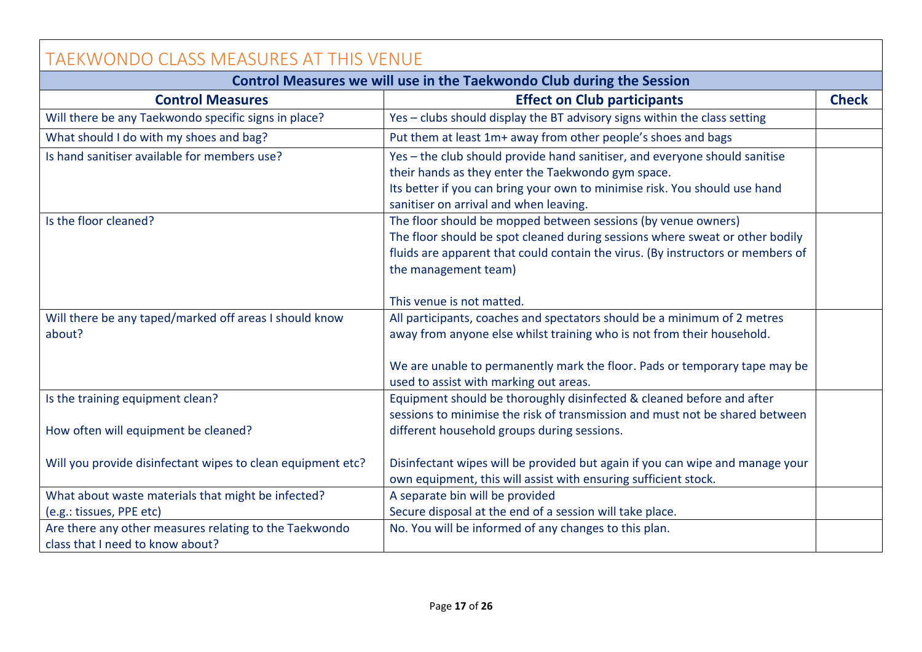<span id="page-16-0"></span>

| TAEKWONDO CLASS MEASURES AT THIS VENUE                                                     |                                                                                                                                                                                                                                                                                       |              |  |  |  |  |
|--------------------------------------------------------------------------------------------|---------------------------------------------------------------------------------------------------------------------------------------------------------------------------------------------------------------------------------------------------------------------------------------|--------------|--|--|--|--|
| Control Measures we will use in the Taekwondo Club during the Session                      |                                                                                                                                                                                                                                                                                       |              |  |  |  |  |
| <b>Control Measures</b>                                                                    | <b>Effect on Club participants</b>                                                                                                                                                                                                                                                    | <b>Check</b> |  |  |  |  |
| Will there be any Taekwondo specific signs in place?                                       | Yes - clubs should display the BT advisory signs within the class setting                                                                                                                                                                                                             |              |  |  |  |  |
| What should I do with my shoes and bag?                                                    | Put them at least 1m+ away from other people's shoes and bags                                                                                                                                                                                                                         |              |  |  |  |  |
| Is hand sanitiser available for members use?                                               | Yes - the club should provide hand sanitiser, and everyone should sanitise<br>their hands as they enter the Taekwondo gym space.<br>Its better if you can bring your own to minimise risk. You should use hand<br>sanitiser on arrival and when leaving.                              |              |  |  |  |  |
| Is the floor cleaned?                                                                      | The floor should be mopped between sessions (by venue owners)<br>The floor should be spot cleaned during sessions where sweat or other bodily<br>fluids are apparent that could contain the virus. (By instructors or members of<br>the management team)<br>This venue is not matted. |              |  |  |  |  |
| Will there be any taped/marked off areas I should know                                     | All participants, coaches and spectators should be a minimum of 2 metres                                                                                                                                                                                                              |              |  |  |  |  |
| about?                                                                                     | away from anyone else whilst training who is not from their household.                                                                                                                                                                                                                |              |  |  |  |  |
|                                                                                            | We are unable to permanently mark the floor. Pads or temporary tape may be<br>used to assist with marking out areas.                                                                                                                                                                  |              |  |  |  |  |
| Is the training equipment clean?                                                           | Equipment should be thoroughly disinfected & cleaned before and after<br>sessions to minimise the risk of transmission and must not be shared between                                                                                                                                 |              |  |  |  |  |
| How often will equipment be cleaned?                                                       | different household groups during sessions.                                                                                                                                                                                                                                           |              |  |  |  |  |
| Will you provide disinfectant wipes to clean equipment etc?                                | Disinfectant wipes will be provided but again if you can wipe and manage your<br>own equipment, this will assist with ensuring sufficient stock.                                                                                                                                      |              |  |  |  |  |
| What about waste materials that might be infected?                                         | A separate bin will be provided                                                                                                                                                                                                                                                       |              |  |  |  |  |
| (e.g.: tissues, PPE etc)                                                                   | Secure disposal at the end of a session will take place.                                                                                                                                                                                                                              |              |  |  |  |  |
| Are there any other measures relating to the Taekwondo<br>class that I need to know about? | No. You will be informed of any changes to this plan.                                                                                                                                                                                                                                 |              |  |  |  |  |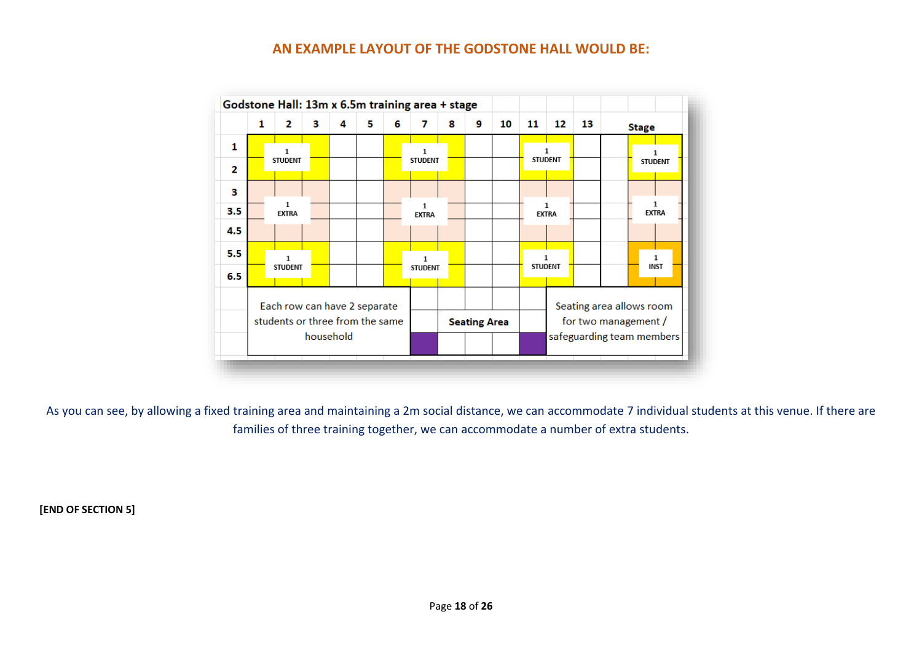#### **AN EXAMPLE LAYOUT OF THE GODSTONE HALL WOULD BE:**

|     | Godstone Hall: 13m x 6.5m training area + stage |                   |   |           |   |   |                     |   |   |    |                                                   |                   |    |                          |                   |
|-----|-------------------------------------------------|-------------------|---|-----------|---|---|---------------------|---|---|----|---------------------------------------------------|-------------------|----|--------------------------|-------------------|
|     | 1                                               | 2                 | з | 4         | 5 | 6 | 7                   | 8 | 9 | 10 | 11                                                | 12                | 13 |                          | <b>Stage</b>      |
| 1   |                                                 |                   |   |           |   |   | 1                   |   |   |    |                                                   |                   |    |                          |                   |
| 2   |                                                 | <b>STUDENT</b>    |   |           |   |   | <b>STUDENT</b>      |   |   |    |                                                   | <b>STUDENT</b>    |    |                          | <b>STUDENT</b>    |
| з   |                                                 |                   |   |           |   |   |                     |   |   |    |                                                   |                   |    |                          |                   |
| 3.5 |                                                 | 1<br><b>EXTRA</b> |   |           |   |   | 1<br><b>EXTRA</b>   |   |   |    |                                                   | 1<br><b>EXTRA</b> |    |                          | 1<br><b>EXTRA</b> |
| 4.5 |                                                 |                   |   |           |   |   |                     |   |   |    |                                                   |                   |    |                          |                   |
| 5.5 |                                                 | 1                 |   |           |   |   | $\mathbf{1}$        |   |   |    |                                                   |                   |    |                          | 1                 |
| 6.5 |                                                 | <b>STUDENT</b>    |   |           |   |   | <b>STUDENT</b>      |   |   |    | <b>STUDENT</b>                                    |                   |    |                          | <b>INST</b>       |
|     | Each row can have 2 separate                    |                   |   |           |   |   |                     |   |   |    |                                                   |                   |    | Seating area allows room |                   |
|     | students or three from the same                 |                   |   |           |   |   | <b>Seating Area</b> |   |   |    | for two management /<br>safeguarding team members |                   |    |                          |                   |
|     |                                                 |                   |   | household |   |   |                     |   |   |    |                                                   |                   |    |                          |                   |

As you can see, by allowing a fixed training area and maintaining a 2m social distance, we can accommodate 7 individual students at this venue. If there are families of three training together, we can accommodate a number of extra students.

**[END OF SECTION 5]**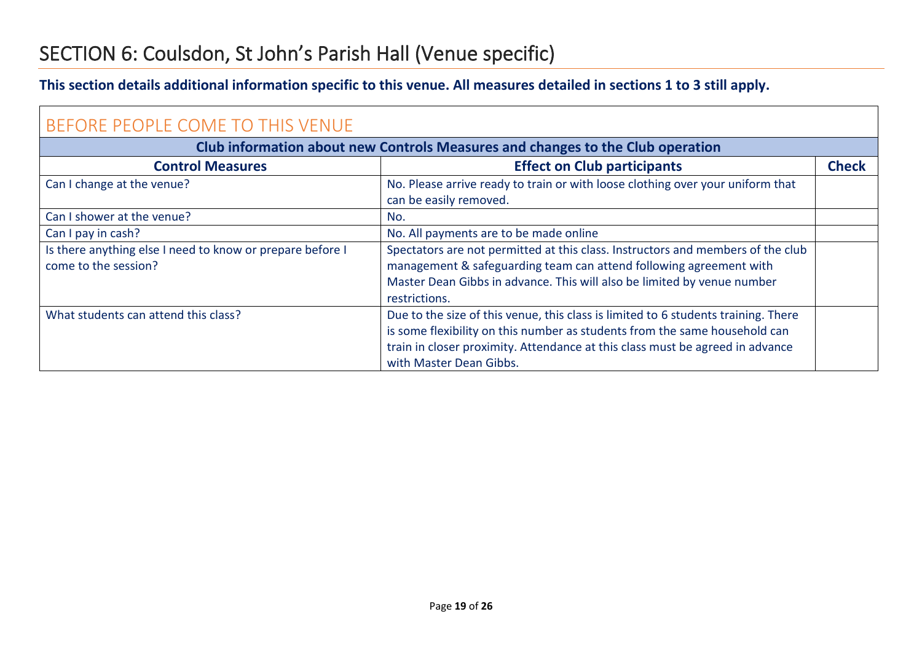### <span id="page-18-0"></span>SECTION 6: Coulsdon, St John's Parish Hall (Venue specific)

#### **This section details additional information specific to this venue. All measures detailed in sections 1 to 3 still apply.**

<span id="page-18-1"></span>

| BEFORE PEOPLE COME TO THIS VENUE                                                  |                                                                                                                                                                                                                                                                              |              |  |  |  |
|-----------------------------------------------------------------------------------|------------------------------------------------------------------------------------------------------------------------------------------------------------------------------------------------------------------------------------------------------------------------------|--------------|--|--|--|
| Club information about new Controls Measures and changes to the Club operation    |                                                                                                                                                                                                                                                                              |              |  |  |  |
| <b>Control Measures</b>                                                           | <b>Effect on Club participants</b>                                                                                                                                                                                                                                           | <b>Check</b> |  |  |  |
| Can I change at the venue?                                                        | No. Please arrive ready to train or with loose clothing over your uniform that<br>can be easily removed.                                                                                                                                                                     |              |  |  |  |
| Can I shower at the venue?                                                        | No.                                                                                                                                                                                                                                                                          |              |  |  |  |
| Can I pay in cash?                                                                | No. All payments are to be made online                                                                                                                                                                                                                                       |              |  |  |  |
| Is there anything else I need to know or prepare before I<br>come to the session? | Spectators are not permitted at this class. Instructors and members of the club<br>management & safeguarding team can attend following agreement with<br>Master Dean Gibbs in advance. This will also be limited by venue number<br>restrictions.                            |              |  |  |  |
| What students can attend this class?                                              | Due to the size of this venue, this class is limited to 6 students training. There<br>is some flexibility on this number as students from the same household can<br>train in closer proximity. Attendance at this class must be agreed in advance<br>with Master Dean Gibbs. |              |  |  |  |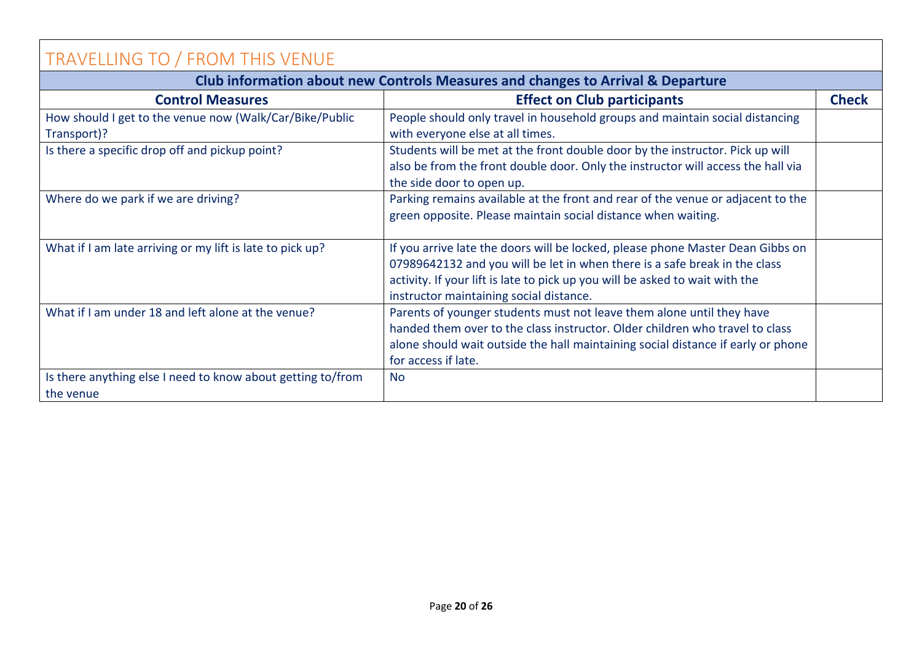<span id="page-19-0"></span>

| <b>TRAVELLING TO / FROM THIS VENUE</b>                                          |                                                                                                                                                                                                                                                                                         |              |  |  |  |
|---------------------------------------------------------------------------------|-----------------------------------------------------------------------------------------------------------------------------------------------------------------------------------------------------------------------------------------------------------------------------------------|--------------|--|--|--|
| Club information about new Controls Measures and changes to Arrival & Departure |                                                                                                                                                                                                                                                                                         |              |  |  |  |
| <b>Control Measures</b>                                                         | <b>Effect on Club participants</b>                                                                                                                                                                                                                                                      | <b>Check</b> |  |  |  |
| How should I get to the venue now (Walk/Car/Bike/Public<br>Transport)?          | People should only travel in household groups and maintain social distancing<br>with everyone else at all times.                                                                                                                                                                        |              |  |  |  |
| Is there a specific drop off and pickup point?                                  | Students will be met at the front double door by the instructor. Pick up will<br>also be from the front double door. Only the instructor will access the hall via<br>the side door to open up.                                                                                          |              |  |  |  |
| Where do we park if we are driving?                                             | Parking remains available at the front and rear of the venue or adjacent to the<br>green opposite. Please maintain social distance when waiting.                                                                                                                                        |              |  |  |  |
| What if I am late arriving or my lift is late to pick up?                       | If you arrive late the doors will be locked, please phone Master Dean Gibbs on<br>07989642132 and you will be let in when there is a safe break in the class<br>activity. If your lift is late to pick up you will be asked to wait with the<br>instructor maintaining social distance. |              |  |  |  |
| What if I am under 18 and left alone at the venue?                              | Parents of younger students must not leave them alone until they have<br>handed them over to the class instructor. Older children who travel to class<br>alone should wait outside the hall maintaining social distance if early or phone<br>for access if late.                        |              |  |  |  |
| Is there anything else I need to know about getting to/from<br>the venue        | <b>No</b>                                                                                                                                                                                                                                                                               |              |  |  |  |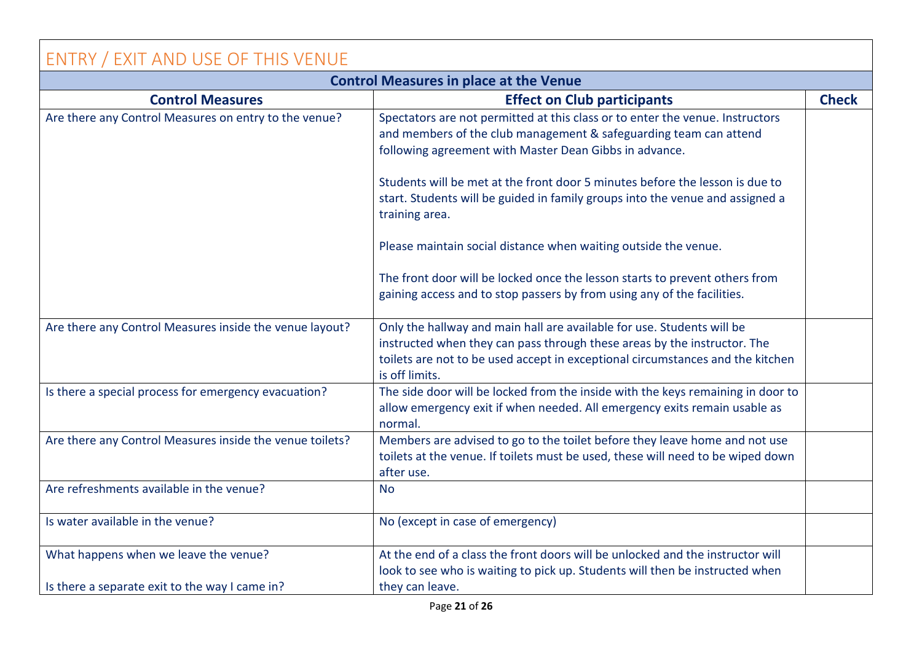### <span id="page-20-0"></span>ENTRY / EXIT AND USE OF THIS VENUE

| <b>Control Measures in place at the Venue</b>            |                                                                                                                                                                                                                                                        |              |  |  |  |
|----------------------------------------------------------|--------------------------------------------------------------------------------------------------------------------------------------------------------------------------------------------------------------------------------------------------------|--------------|--|--|--|
| <b>Control Measures</b>                                  | <b>Effect on Club participants</b>                                                                                                                                                                                                                     | <b>Check</b> |  |  |  |
| Are there any Control Measures on entry to the venue?    | Spectators are not permitted at this class or to enter the venue. Instructors<br>and members of the club management & safeguarding team can attend<br>following agreement with Master Dean Gibbs in advance.                                           |              |  |  |  |
|                                                          | Students will be met at the front door 5 minutes before the lesson is due to<br>start. Students will be guided in family groups into the venue and assigned a<br>training area.                                                                        |              |  |  |  |
|                                                          | Please maintain social distance when waiting outside the venue.                                                                                                                                                                                        |              |  |  |  |
|                                                          | The front door will be locked once the lesson starts to prevent others from<br>gaining access and to stop passers by from using any of the facilities.                                                                                                 |              |  |  |  |
| Are there any Control Measures inside the venue layout?  | Only the hallway and main hall are available for use. Students will be<br>instructed when they can pass through these areas by the instructor. The<br>toilets are not to be used accept in exceptional circumstances and the kitchen<br>is off limits. |              |  |  |  |
| Is there a special process for emergency evacuation?     | The side door will be locked from the inside with the keys remaining in door to<br>allow emergency exit if when needed. All emergency exits remain usable as<br>normal.                                                                                |              |  |  |  |
| Are there any Control Measures inside the venue toilets? | Members are advised to go to the toilet before they leave home and not use<br>toilets at the venue. If toilets must be used, these will need to be wiped down<br>after use.                                                                            |              |  |  |  |
| Are refreshments available in the venue?                 | <b>No</b>                                                                                                                                                                                                                                              |              |  |  |  |
| Is water available in the venue?                         | No (except in case of emergency)                                                                                                                                                                                                                       |              |  |  |  |
| What happens when we leave the venue?                    | At the end of a class the front doors will be unlocked and the instructor will<br>look to see who is waiting to pick up. Students will then be instructed when                                                                                         |              |  |  |  |
| Is there a separate exit to the way I came in?           | they can leave.                                                                                                                                                                                                                                        |              |  |  |  |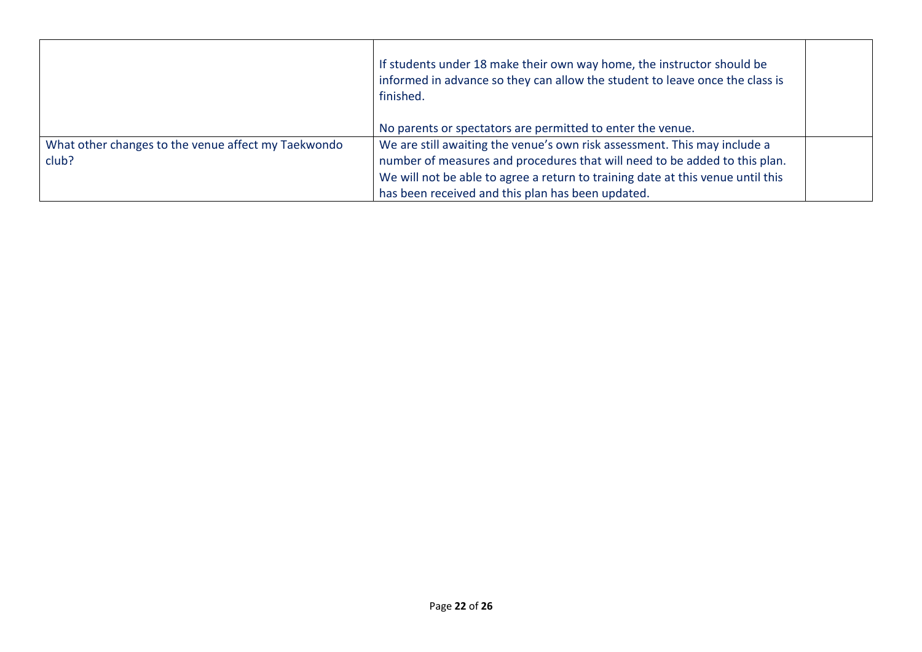|                                                              | If students under 18 make their own way home, the instructor should be<br>informed in advance so they can allow the student to leave once the class is<br>finished.                                                                                                                             |
|--------------------------------------------------------------|-------------------------------------------------------------------------------------------------------------------------------------------------------------------------------------------------------------------------------------------------------------------------------------------------|
|                                                              | No parents or spectators are permitted to enter the venue.                                                                                                                                                                                                                                      |
| What other changes to the venue affect my Taekwondo<br>club? | We are still awaiting the venue's own risk assessment. This may include a<br>number of measures and procedures that will need to be added to this plan.<br>We will not be able to agree a return to training date at this venue until this<br>has been received and this plan has been updated. |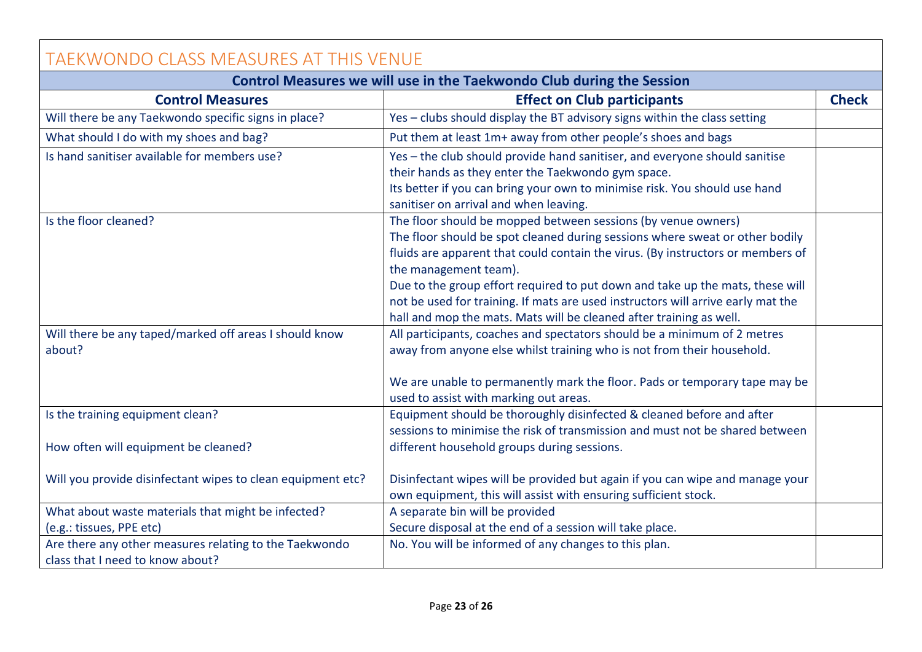<span id="page-22-0"></span>

| <b>TAEKWONDO CLASS MEASURES AT THIS VENUE</b>                                                                     |                                                                                                                                                                                                                                                                                                                                                                                                                                                                                                       |              |  |  |  |  |  |
|-------------------------------------------------------------------------------------------------------------------|-------------------------------------------------------------------------------------------------------------------------------------------------------------------------------------------------------------------------------------------------------------------------------------------------------------------------------------------------------------------------------------------------------------------------------------------------------------------------------------------------------|--------------|--|--|--|--|--|
| Control Measures we will use in the Taekwondo Club during the Session                                             |                                                                                                                                                                                                                                                                                                                                                                                                                                                                                                       |              |  |  |  |  |  |
| <b>Control Measures</b>                                                                                           | <b>Effect on Club participants</b>                                                                                                                                                                                                                                                                                                                                                                                                                                                                    | <b>Check</b> |  |  |  |  |  |
| Will there be any Taekwondo specific signs in place?                                                              | Yes - clubs should display the BT advisory signs within the class setting                                                                                                                                                                                                                                                                                                                                                                                                                             |              |  |  |  |  |  |
| What should I do with my shoes and bag?                                                                           | Put them at least 1m+ away from other people's shoes and bags                                                                                                                                                                                                                                                                                                                                                                                                                                         |              |  |  |  |  |  |
| Is hand sanitiser available for members use?                                                                      | Yes - the club should provide hand sanitiser, and everyone should sanitise<br>their hands as they enter the Taekwondo gym space.<br>Its better if you can bring your own to minimise risk. You should use hand<br>sanitiser on arrival and when leaving.                                                                                                                                                                                                                                              |              |  |  |  |  |  |
| Is the floor cleaned?                                                                                             | The floor should be mopped between sessions (by venue owners)<br>The floor should be spot cleaned during sessions where sweat or other bodily<br>fluids are apparent that could contain the virus. (By instructors or members of<br>the management team).<br>Due to the group effort required to put down and take up the mats, these will<br>not be used for training. If mats are used instructors will arrive early mat the<br>hall and mop the mats. Mats will be cleaned after training as well. |              |  |  |  |  |  |
| Will there be any taped/marked off areas I should know<br>about?                                                  | All participants, coaches and spectators should be a minimum of 2 metres<br>away from anyone else whilst training who is not from their household.<br>We are unable to permanently mark the floor. Pads or temporary tape may be<br>used to assist with marking out areas.                                                                                                                                                                                                                            |              |  |  |  |  |  |
| Is the training equipment clean?<br>How often will equipment be cleaned?                                          | Equipment should be thoroughly disinfected & cleaned before and after<br>sessions to minimise the risk of transmission and must not be shared between<br>different household groups during sessions.                                                                                                                                                                                                                                                                                                  |              |  |  |  |  |  |
| Will you provide disinfectant wipes to clean equipment etc?<br>What about waste materials that might be infected? | Disinfectant wipes will be provided but again if you can wipe and manage your<br>own equipment, this will assist with ensuring sufficient stock.<br>A separate bin will be provided                                                                                                                                                                                                                                                                                                                   |              |  |  |  |  |  |
| (e.g.: tissues, PPE etc)                                                                                          | Secure disposal at the end of a session will take place.                                                                                                                                                                                                                                                                                                                                                                                                                                              |              |  |  |  |  |  |
| Are there any other measures relating to the Taekwondo<br>class that I need to know about?                        | No. You will be informed of any changes to this plan.                                                                                                                                                                                                                                                                                                                                                                                                                                                 |              |  |  |  |  |  |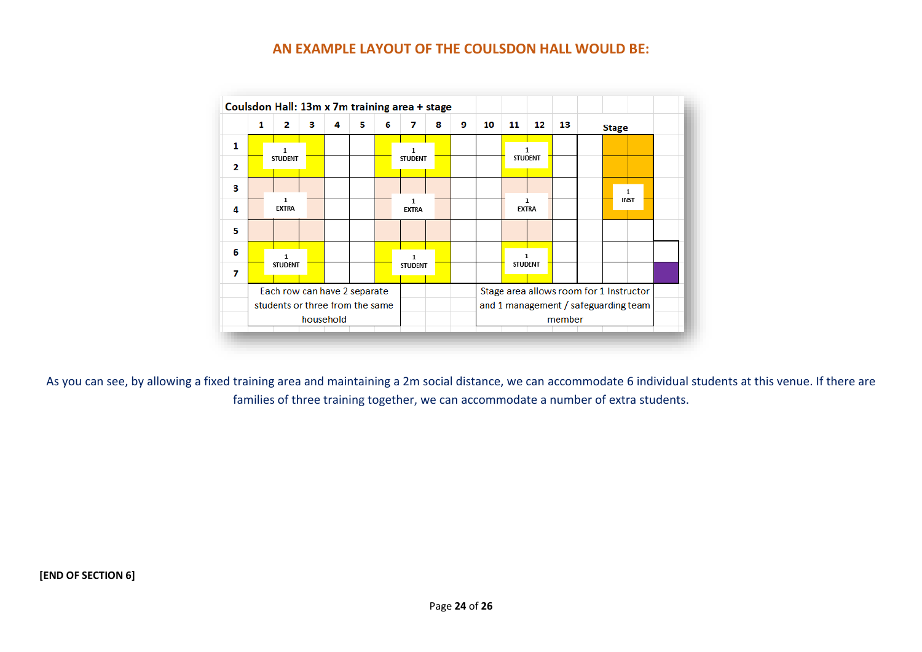#### **AN EXAMPLE LAYOUT OF THE COULSDON HALL WOULD BE:**



As you can see, by allowing a fixed training area and maintaining a 2m social distance, we can accommodate 6 individual students at this venue. If there are families of three training together, we can accommodate a number of extra students.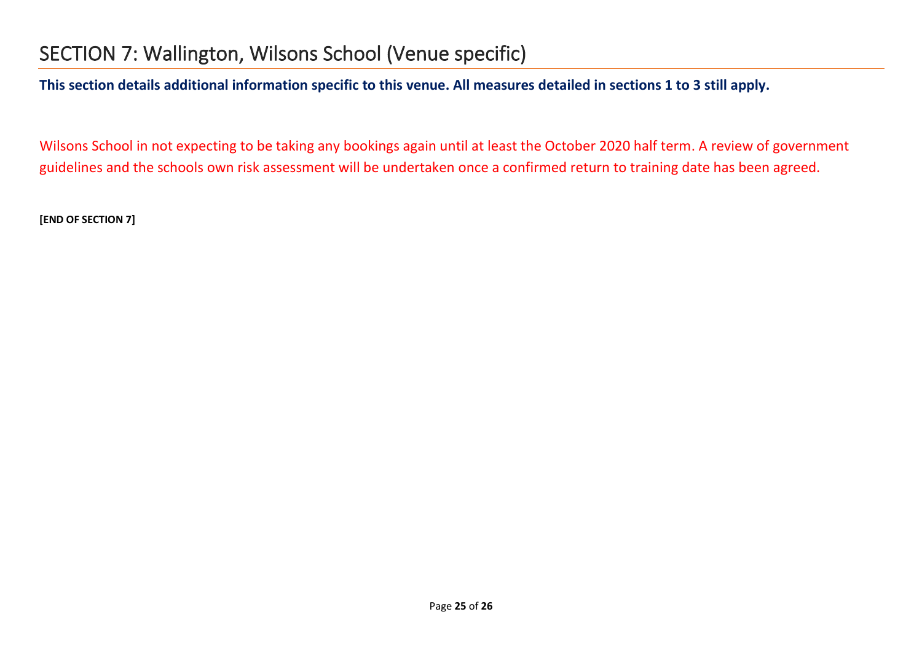### <span id="page-24-0"></span>SECTION 7: Wallington, Wilsons School (Venue specific)

**This section details additional information specific to this venue. All measures detailed in sections 1 to 3 still apply.**

Wilsons School in not expecting to be taking any bookings again until at least the October 2020 half term. A review of government guidelines and the schools own risk assessment will be undertaken once a confirmed return to training date has been agreed.

**[END OF SECTION 7]**